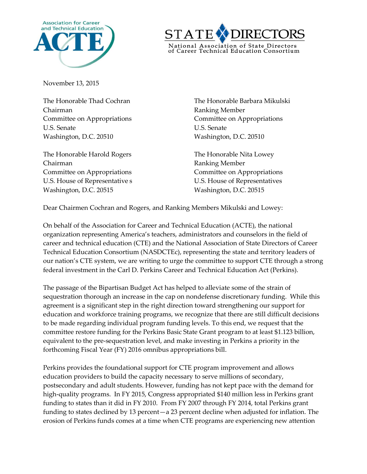



November 13, 2015

Chairman Ranking Member U.S. Senate U.S. Senate Washington, D.C. 20510 Washington, D.C. 20510

The Honorable Harold Rogers The Honorable Nita Lowey Chairman **Ranking Member** Committee on Appropriations Committee on Appropriations U.S. House of Representative s TU.S. House of Representatives Washington, D.C. 20515 Washington, D.C. 20515

The Honorable Thad Cochran The Honorable Barbara Mikulski Committee on Appropriations Committee on Appropriations

Dear Chairmen Cochran and Rogers, and Ranking Members Mikulski and Lowey:

On behalf of the Association for Career and Technical Education (ACTE), the national organization representing America's teachers, administrators and counselors in the field of career and technical education (CTE) and the National Association of State Directors of Career Technical Education Consortium (NASDCTEc), representing the state and territory leaders of our nation's CTE system, we are writing to urge the committee to support CTE through a strong federal investment in the Carl D. Perkins Career and Technical Education Act (Perkins).

The passage of the Bipartisan Budget Act has helped to alleviate some of the strain of sequestration thorough an increase in the cap on nondefense discretionary funding. While this agreement is a significant step in the right direction toward strengthening our support for education and workforce training programs, we recognize that there are still difficult decisions to be made regarding individual program funding levels. To this end, we request that the committee restore funding for the Perkins Basic State Grant program to at least \$1.123 billion, equivalent to the pre-sequestration level, and make investing in Perkins a priority in the forthcoming Fiscal Year (FY) 2016 omnibus appropriations bill.

Perkins provides the foundational support for CTE program improvement and allows education providers to build the capacity necessary to serve millions of secondary, postsecondary and adult students. However, funding has not kept pace with the demand for high-quality programs. In FY 2015, Congress appropriated \$140 million less in Perkins grant funding to states than it did in FY 2010. From FY 2007 through FY 2014, total Perkins grant funding to states declined by 13 percent—a 23 percent decline when adjusted for inflation. The erosion of Perkins funds comes at a time when CTE programs are experiencing new attention